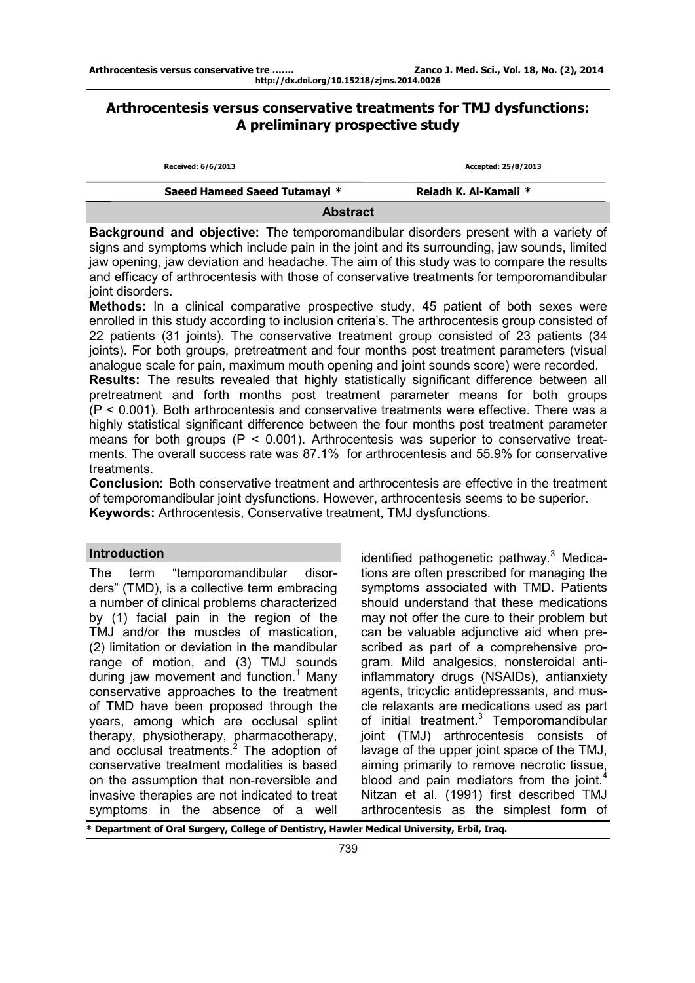# **Arthrocentesis versus conservative treatments for TMJ dysfunctions: A preliminary prospective study**

| Received: 6/6/2013            | Accepted: 25/8/2013   |  |  |  |  |
|-------------------------------|-----------------------|--|--|--|--|
| Saeed Hameed Saeed Tutamayi * | Reiadh K. Al-Kamali * |  |  |  |  |
| <b>Abstract</b>               |                       |  |  |  |  |

**Background and objective:** The temporomandibular disorders present with a variety of signs and symptoms which include pain in the joint and its surrounding, jaw sounds, limited jaw opening, jaw deviation and headache. The aim of this study was to compare the results and efficacy of arthrocentesis with those of conservative treatments for temporomandibular joint disorders.

**Methods:** In a clinical comparative prospective study, 45 patient of both sexes were enrolled in this study according to inclusion criteria's. The arthrocentesis group consisted of 22 patients (31 joints). The conservative treatment group consisted of 23 patients (34 joints). For both groups, pretreatment and four months post treatment parameters (visual analogue scale for pain, maximum mouth opening and joint sounds score) were recorded. **Results:** The results revealed that highly statistically significant difference between all pretreatment and forth months post treatment parameter means for both groups  $(P < 0.001)$ . Both arthrocentesis and conservative treatments were effective. There was a highly statistical significant difference between the four months post treatment parameter means for both groups ( $P < 0.001$ ). Arthrocentesis was superior to conservative treatments. The overall success rate was 87.1% for arthrocentesis and 55.9% for conservative treatments.

**Conclusion:** Both conservative treatment and arthrocentesis are effective in the treatment of temporomandibular joint dysfunctions. However, arthrocentesis seems to be superior. **Keywords:** Arthrocentesis, Conservative treatment, TMJ dysfunctions.

## **Introduction**

The term "temporomandibular disorders" (TMD), is a collective term embracing a number of clinical problems characterized by (1) facial pain in the region of the TMJ and/or the muscles of mastication, (2) limitation or deviation in the mandibular range of motion, and (3) TMJ sounds during jaw movement and function.<sup>1</sup> Many conservative approaches to the treatment of TMD have been proposed through the years, among which are occlusal splint therapy, physiotherapy, pharmacotherapy, and occlusal treatments.<sup>2</sup> The adoption of conservative treatment modalities is based on the assumption that non-reversible and invasive therapies are not indicated to treat symptoms in the absence of a well

identified pathogenetic pathway. $3$  Medications are often prescribed for managing the symptoms associated with TMD. Patients should understand that these medications may not offer the cure to their problem but can be valuable adjunctive aid when prescribed as part of a comprehensive program. Mild analgesics, nonsteroidal antiinflammatory drugs (NSAIDs), antianxiety agents, tricyclic antidepressants, and muscle relaxants are medications used as part of initial treatment.<sup>3</sup> Temporomandibular joint (TMJ) arthrocentesis consists of lavage of the upper joint space of the TMJ, aiming primarily to remove necrotic tissue, blood and pain mediators from the joint.<sup>4</sup>  $\ddot{\phantom{0}}$ Nitzan et al. (1991) first described TMJ arthrocentesis as the simplest form of

**\* Department of Oral Surgery, College of Dentistry, Hawler Medical University, Erbil, Iraq.**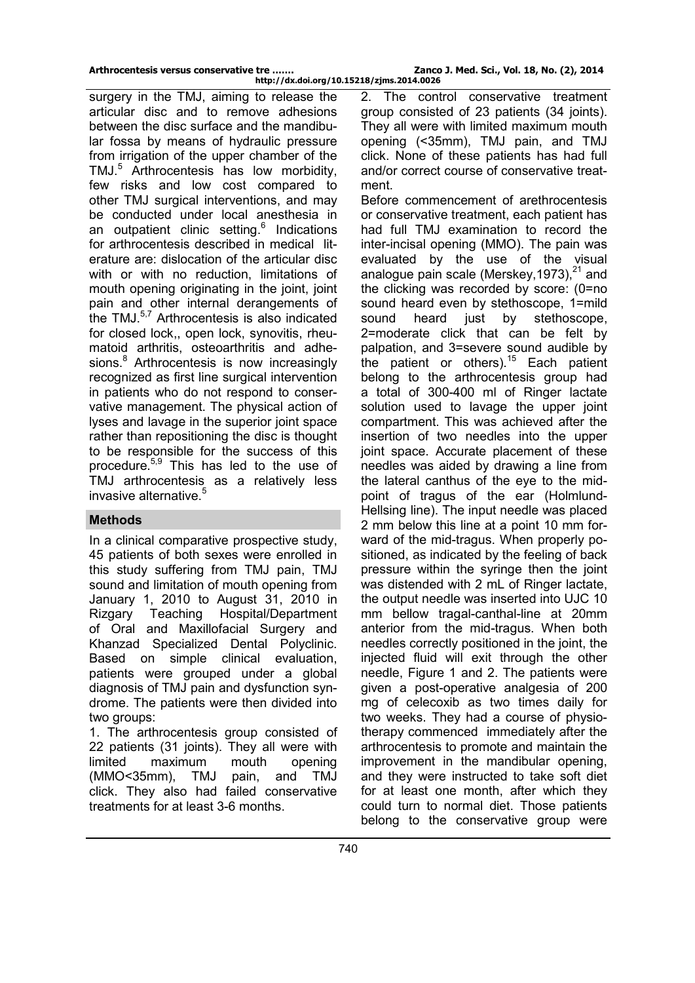surgery in the TMJ, aiming to release the articular disc and to remove adhesions between the disc surface and the mandibular fossa by means of hydraulic pressure from irrigation of the upper chamber of the TMJ.<sup>5</sup> Arthrocentesis has low morbidity, few risks and low cost compared to other TMJ surgical interventions, and may be conducted under local anesthesia in an outpatient clinic setting.<sup>6</sup> Indications for arthrocentesis described in medical literature are: dislocation of the articular disc with or with no reduction, limitations of mouth opening originating in the joint, joint pain and other internal derangements of the TMJ.5,7 Arthrocentesis is also indicated for closed lock,, open lock, synovitis, rheumatoid arthritis, osteoarthritis and adhesions.<sup>8</sup> Arthrocentesis is now increasingly recognized as first line surgical intervention in patients who do not respond to conservative management. The physical action of lyses and lavage in the superior joint space rather than repositioning the disc is thought to be responsible for the success of this procedure.5,9 This has led to the use of TMJ arthrocentesis as a relatively less invasive alternative.<sup>5</sup>

### **Methods**

In a clinical comparative prospective study, 45 patients of both sexes were enrolled in this study suffering from TMJ pain, TMJ sound and limitation of mouth opening from January 1, 2010 to August 31, 2010 in Rizgary Teaching Hospital/Department of Oral and Maxillofacial Surgery and Khanzad Specialized Dental Polyclinic. Based on simple clinical evaluation, patients were grouped under a global diagnosis of TMJ pain and dysfunction syndrome. The patients were then divided into two groups:

1. The arthrocentesis group consisted of 22 patients (31 joints). They all were with limited maximum mouth opening (MMO<35mm), TMJ pain, and TMJ click. They also had failed conservative treatments for at least 3-6 months.

The control conservative treatment group consisted of 23 patients (34 joints). They all were with limited maximum mouth opening (<35mm), TMJ pain, and TMJ click. None of these patients has had full and/or correct course of conservative treatment.

Before commencement of arethrocentesis or conservative treatment, each patient has had full TMJ examination to record the inter-incisal opening (MMO). The pain was evaluated by the use of the visual analogue pain scale (Merskey, 1973), $^{21}$  and the clicking was recorded by score: (0=no sound heard even by stethoscope, 1=mild sound heard just by stethoscope, 2=moderate click that can be felt by palpation, and 3=severe sound audible by the patient or others).<sup>15</sup> Each patient belong to the arthrocentesis group had a total of 300-400 ml of Ringer lactate solution used to lavage the upper joint compartment. This was achieved after the insertion of two needles into the upper joint space. Accurate placement of these needles was aided by drawing a line from the lateral canthus of the eye to the midpoint of tragus of the ear (Holmlund-Hellsing line). The input needle was placed 2 mm below this line at a point 10 mm forward of the mid-tragus. When properly positioned, as indicated by the feeling of back pressure within the syringe then the joint was distended with 2 mL of Ringer lactate, the output needle was inserted into UJC 10 mm bellow tragal-canthal-line at 20mm anterior from the mid-tragus. When both needles correctly positioned in the joint, the injected fluid will exit through the other needle, Figure 1 and 2. The patients were given a post-operative analgesia of 200 mg of celecoxib as two times daily for two weeks. They had a course of physiotherapy commenced immediately after the arthrocentesis to promote and maintain the improvement in the mandibular opening, and they were instructed to take soft diet for at least one month, after which they could turn to normal diet. Those patients belong to the conservative group were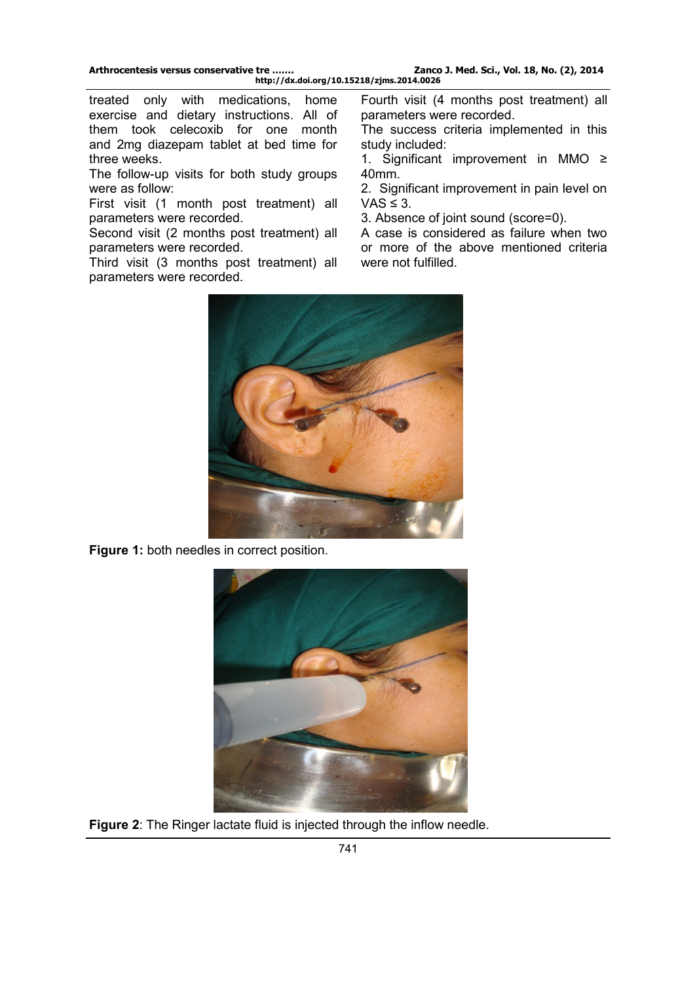treated only with medications, home exercise and dietary instructions. All of them took celecoxib for one month and 2mg diazepam tablet at bed time for three weeks.

The follow-up visits for both study groups were as follow:

First visit (1 month post treatment) all parameters were recorded.

Second visit (2 months post treatment) all parameters were recorded.

Third visit (3 months post treatment) all parameters were recorded.

Fourth visit (4 months post treatment) all parameters were recorded.

The success criteria implemented in this study included:

1. Significant improvement in MMO ≥ 40mm.

2. Significant improvement in pain level on  $VAS \leq 3$ .

3. Absence of joint sound (score=0).

A case is considered as failure when two or more of the above mentioned criteria were not fulfilled.



**Figure 1:** both needles in correct position.



**Figure 2**: The Ringer lactate fluid is injected through the inflow needle.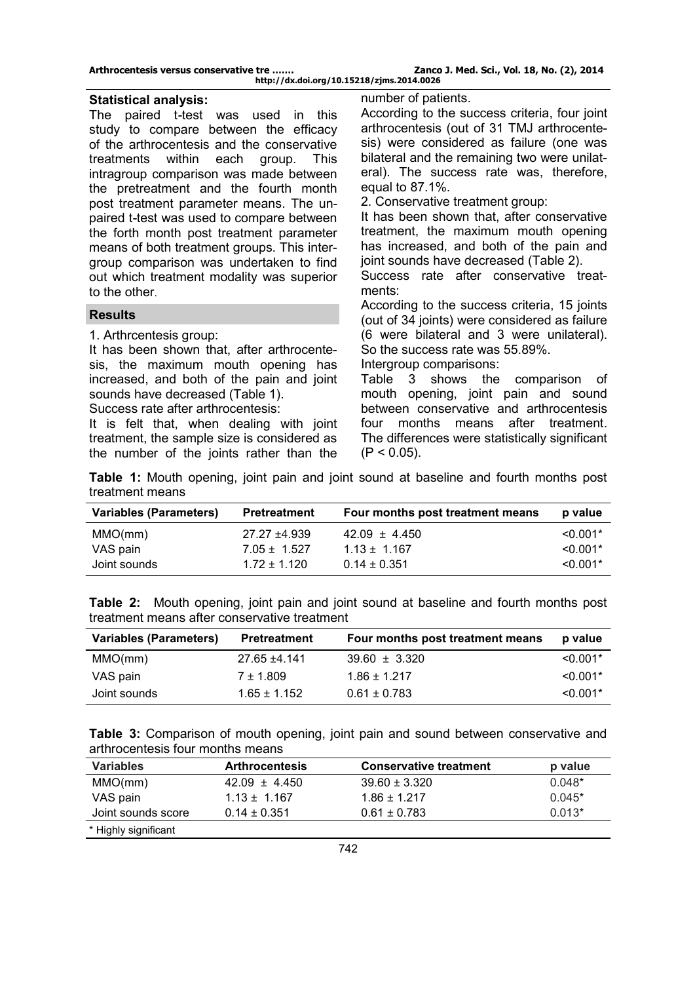Zanco J. Med. Sci., Vol. 18, No. (2), 2014 **http://dx.doi.org/10.15218/zjms.2014.0026**

#### **Statistical analysis:**

The paired t*-*test was used in this study to compare between the efficacy of the arthrocentesis and the conservative<br>treatments within each group. This treatments within each group. This intragroup comparison was made between the pretreatment and the fourth month post treatment parameter means. The unpaired t*-*test was used to compare between the forth month post treatment parameter means of both treatment groups. This intergroup comparison was undertaken to find out which treatment modality was superior to the other.

#### **Results**

1. Arthrcentesis group:

It has been shown that, after arthrocentesis, the maximum mouth opening has increased, and both of the pain and joint sounds have decreased (Table 1).

Success rate after arthrocentesis:

It is felt that, when dealing with joint treatment, the sample size is considered as the number of the joints rather than the number of patients.

According to the success criteria, four joint arthrocentesis (out of 31 TMJ arthrocentesis) were considered as failure (one was bilateral and the remaining two were unilateral). The success rate was, therefore, equal to 87.1%.

2. Conservative treatment group:

It has been shown that, after conservative treatment, the maximum mouth opening has increased, and both of the pain and joint sounds have decreased (Table 2).

Success rate after conservative treatments:

According to the success criteria, 15 joints (out of 34 joints) were considered as failure (6 were bilateral and 3 were unilateral). So the success rate was 55.89%.

Intergroup comparisons:

Table 3 shows the comparison of mouth opening, joint pain and sound between conservative and arthrocentesis four months means after treatment. The differences were statistically significant  $(P < 0.05)$ .

**Table 1:** Mouth opening, joint pain and joint sound at baseline and fourth months post treatment means

| <b>Variables (Parameters)</b> | Pretreatment                   | Four months post treatment means      | p value                  |
|-------------------------------|--------------------------------|---------------------------------------|--------------------------|
| MMO(mm)<br>VAS pain           | 27.27 ±4.939<br>$7.05 + 1.527$ | $42.09 \pm 4.450$<br>$1.13 \pm 1.167$ | $< 0.001*$<br>$< 0.001*$ |
| Joint sounds                  | $1.72 \pm 1.120$               | $0.14 \pm 0.351$                      | $< 0.001*$               |

| <b>Table 2:</b> Mouth opening, joint pain and joint sound at baseline and fourth months post |  |  |  |  |  |  |  |
|----------------------------------------------------------------------------------------------|--|--|--|--|--|--|--|
| treatment means after conservative treatment                                                 |  |  |  |  |  |  |  |

| <b>Variables (Parameters)</b> | <b>Pretreatment</b> | Four months post treatment means | p value    |
|-------------------------------|---------------------|----------------------------------|------------|
| MMO(mm)                       | 27.65 ±4.141        | $39.60 \pm 3.320$                | $< 0.001*$ |
| VAS pain                      | $7 \pm 1.809$       | $1.86 \pm 1.217$                 | $< 0.001*$ |
| Joint sounds                  | $1.65 \pm 1.152$    | $0.61 \pm 0.783$                 | $< 0.001*$ |

|  |                                  |  |  |  |  | <b>Table 3:</b> Comparison of mouth opening, joint pain and sound between conservative and |  |
|--|----------------------------------|--|--|--|--|--------------------------------------------------------------------------------------------|--|
|  | arthrocentesis four months means |  |  |  |  |                                                                                            |  |

| Variables            | <b>Arthrocentesis</b> | <b>Conservative treatment</b> | p value  |
|----------------------|-----------------------|-------------------------------|----------|
| MMO(mm)              | $42.09 \pm 4.450$     | $39.60 \pm 3.320$             | $0.048*$ |
| VAS pain             | $1.13 \pm 1.167$      | $1.86 \pm 1.217$              | $0.045*$ |
| Joint sounds score   | $0.14 \pm 0.351$      | $0.61 \pm 0.783$              | $0.013*$ |
| * Highly significant |                       |                               |          |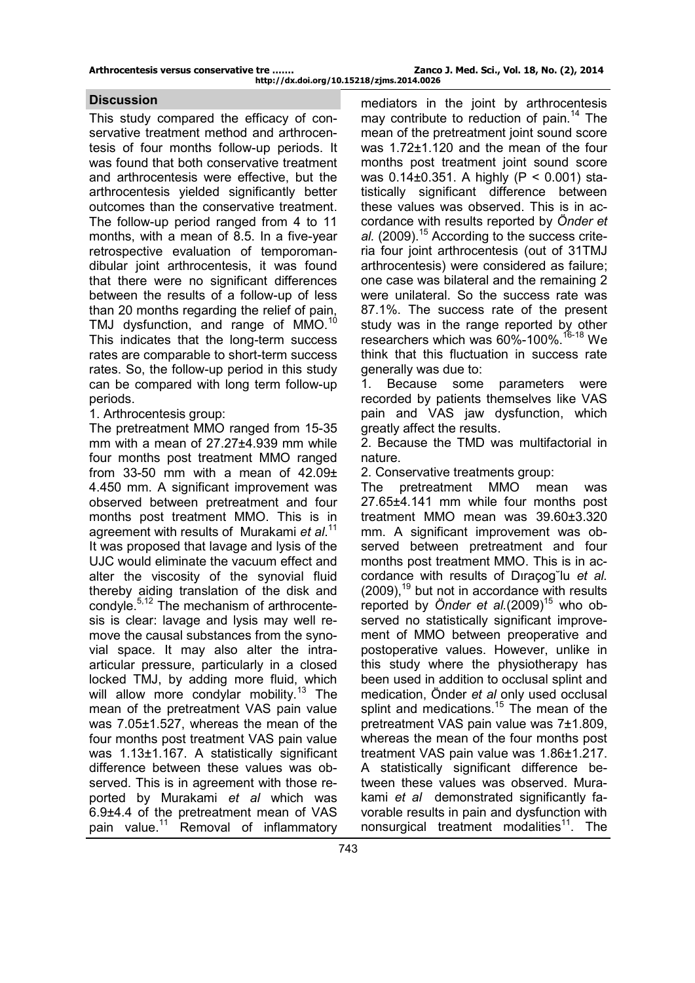This study compared the efficacy of conservative treatment method and arthrocentesis of four months follow-up periods. It was found that both conservative treatment and arthrocentesis were effective, but the arthrocentesis yielded significantly better outcomes than the conservative treatment. The follow-up period ranged from 4 to 11 months, with a mean of 8.5. In a five-year retrospective evaluation of temporomandibular joint arthrocentesis, it was found that there were no significant differences between the results of a follow-up of less than 20 months regarding the relief of pain, TMJ dysfunction, and range of MMO.<sup>10</sup> This indicates that the long-term success rates are comparable to short-term success rates. So, the follow-up period in this study can be compared with long term follow-up periods.

1. Arthrocentesis group:

The pretreatment MMO ranged from 15-35 mm with a mean of 27.27±4.939 mm while four months post treatment MMO ranged from 33-50 mm with a mean of 42.09± 4.450 mm. A significant improvement was observed between pretreatment and four months post treatment MMO. This is in agreement with results of Murakami *et al*. 11 It was proposed that lavage and lysis of the UJC would eliminate the vacuum effect and alter the viscosity of the synovial fluid thereby aiding translation of the disk and condyle.<sup>5,12</sup> The mechanism of arthrocentesis is clear: lavage and lysis may well remove the causal substances from the synovial space. It may also alter the intraarticular pressure, particularly in a closed locked TMJ, by adding more fluid, which will allow more condylar mobility.<sup>13</sup> The mean of the pretreatment VAS pain value was 7.05±1.527, whereas the mean of the four months post treatment VAS pain value was 1.13±1.167. A statistically significant difference between these values was observed. This is in agreement with those reported by Murakami *et al* which was 6.9±4.4 of the pretreatment mean of VAS pain value.<sup>11</sup> Removal of inflammatory

**Discussion Discussion mediators** in the joint by arthrocentesis may contribute to reduction of pain.<sup>14</sup> The mean of the pretreatment joint sound score was 1.72±1.120 and the mean of the four months post treatment joint sound score was 0.14±0.351. A highly (P < 0.001) statistically significant difference between these values was observed. This is in accordance with results reported by *Önder et*  al. (2009).<sup>15</sup> According to the success criteria four joint arthrocentesis (out of 31TMJ arthrocentesis) were considered as failure; one case was bilateral and the remaining 2 were unilateral. So the success rate was 87.1%. The success rate of the present study was in the range reported by other researchers which was 60%-100%.<sup>16-18</sup> We think that this fluctuation in success rate generally was due to:

> 1. Because some parameters were recorded by patients themselves like VAS pain and VAS jaw dysfunction, which greatly affect the results.

> 2. Because the TMD was multifactorial in nature.

2. Conservative treatments group:

The pretreatment MMO mean was 27.65±4.141 mm while four months post treatment MMO mean was 39.60±3.320 mm. A significant improvement was observed between pretreatment and four months post treatment MMO. This is in accordance with results of Dıraçog˘lu *et al.*  $(2009)$ ,<sup>19</sup> but not in accordance with results reported by *Önder et al.*(2009) <sup>15</sup> who observed no statistically significant improvement of MMO between preoperative and postoperative values. However, unlike in this study where the physiotherapy has been used in addition to occlusal splint and medication, Önder *et al* only used occlusal splint and medications.<sup>15</sup> The mean of the pretreatment VAS pain value was 7±1.809, whereas the mean of the four months post treatment VAS pain value was 1.86±1.217. A statistically significant difference between these values was observed. Murakami *et al* demonstrated significantly favorable results in pain and dysfunction with nonsurgical treatment modalities<sup>11</sup>. The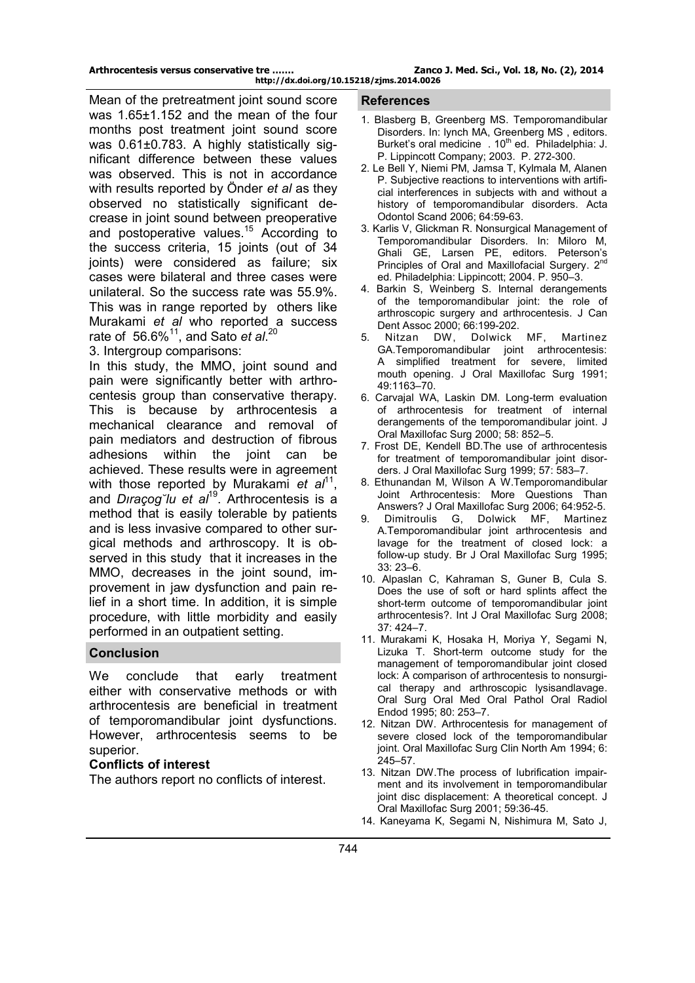Mean of the pretreatment joint sound score was 1.65±1.152 and the mean of the four months post treatment joint sound score was  $0.61\pm0.783$ . A highly statistically significant difference between these values was observed. This is not in accordance with results reported by Önder *et al* as they observed no statistically significant decrease in joint sound between preoperative and postoperative values.<sup>15</sup> According to the success criteria, 15 joints (out of 34 joints) were considered as failure; six cases were bilateral and three cases were unilateral. So the success rate was 55.9%. This was in range reported by others like Murakami *et al* who reported a success rate of 56.6%<sup>11</sup>, and Sato *et al.*<sup>20</sup>

3. Intergroup comparisons:

In this study, the MMO, joint sound and pain were significantly better with arthrocentesis group than conservative therapy. This is because by arthrocentesis a mechanical clearance and removal of pain mediators and destruction of fibrous adhesions within the joint can be achieved. These results were in agreement with those reported by Murakami et al<sup>11</sup>, and *Dıraçog˘lu et al*<sup>19</sup>. Arthrocentesis is a method that is easily tolerable by patients and is less invasive compared to other surgical methods and arthroscopy. It is observed in this study that it increases in the MMO, decreases in the joint sound, improvement in jaw dysfunction and pain relief in a short time. In addition, it is simple procedure, with little morbidity and easily performed in an outpatient setting.

## **Conclusion**

We conclude that early treatment either with conservative methods or with arthrocentesis are beneficial in treatment of temporomandibular joint dysfunctions. However, arthrocentesis seems to be superior.

## **Conflicts of interest**

The authors report no conflicts of interest.

#### **References**

- 1. Blasberg B, Greenberg MS. Temporomandibular Disorders. In: lynch MA, Greenberg MS , editors. Burket's oral medicine  $.10<sup>th</sup>$  ed. Philadelphia: J. P. Lippincott Company; 2003. P. 272-300.
- 2. Le Bell Y, Niemi PM, Jamsa T, Kylmala M, Alanen P. Subjective reactions to interventions with artificial interferences in subjects with and without a history of temporomandibular disorders. Acta Odontol Scand 2006; 64:59-63.
- 3. Karlis V, Glickman R. Nonsurgical Management of Temporomandibular Disorders. In: Miloro M, Ghali GE, Larsen PE, editors. Peterson's Principles of Oral and Maxillofacial Surgery. 2<sup>nd</sup> ed. Philadelphia: Lippincott; 2004. P. 950–3.
- 4. Barkin S, Weinberg S. Internal derangements of the temporomandibular joint: the role of arthroscopic surgery and arthrocentesis. J Can Dent Assoc 2000; 66:199-202.<br>Nitzan DW, Dolwick
- 5. Nitzan DW, Dolwick MF, Martinez GA.Temporomandibular joint arthrocentesis: A simplified treatment for severe, limited mouth opening. J Oral Maxillofac Surg 1991; 49:1163–70.
- 6. Carvajal WA, Laskin DM. Long-term evaluation of arthrocentesis for treatment of internal derangements of the temporomandibular joint. J Oral Maxillofac Surg 2000; 58: 852–5.
- 7. Frost DE, Kendell BD.The use of arthrocentesis for treatment of temporomandibular joint disorders. J Oral Maxillofac Surg 1999; 57: 583–7.
- 8. Ethunandan M, Wilson A W.Temporomandibular Joint Arthrocentesis: More Questions Than Answers? J Oral Maxillofac Surg 2006; 64:952-5.
- 9. Dimitroulis G, Dolwick MF, Martinez A.Temporomandibular joint arthrocentesis and lavage for the treatment of closed lock: a follow-up study. Br J Oral Maxillofac Surg 1995; 33: 23–6.
- 10. Alpaslan C, Kahraman S, Guner B, Cula S. Does the use of soft or hard splints affect the short-term outcome of temporomandibular joint arthrocentesis?. Int J Oral Maxillofac Surg 2008; 37: 424–7.
- 11. Murakami K, Hosaka H, Moriya Y, Segami N, Lizuka T. Short-term outcome study for the management of temporomandibular joint closed lock: A comparison of arthrocentesis to nonsurgical therapy and arthroscopic lysisandlavage. Oral Surg Oral Med Oral Pathol Oral Radiol Endod 1995; 80: 253–7.
- 12. Nitzan DW. Arthrocentesis for management of severe closed lock of the temporomandibular joint. Oral Maxillofac Surg Clin North Am 1994; 6: 245–57.
- 13. Nitzan DW.The process of lubrification impairment and its involvement in temporomandibular joint disc displacement: A theoretical concept. J Oral Maxillofac Surg 2001; 59:36-45.
- 14. Kaneyama K, Segami N, Nishimura M, Sato J,